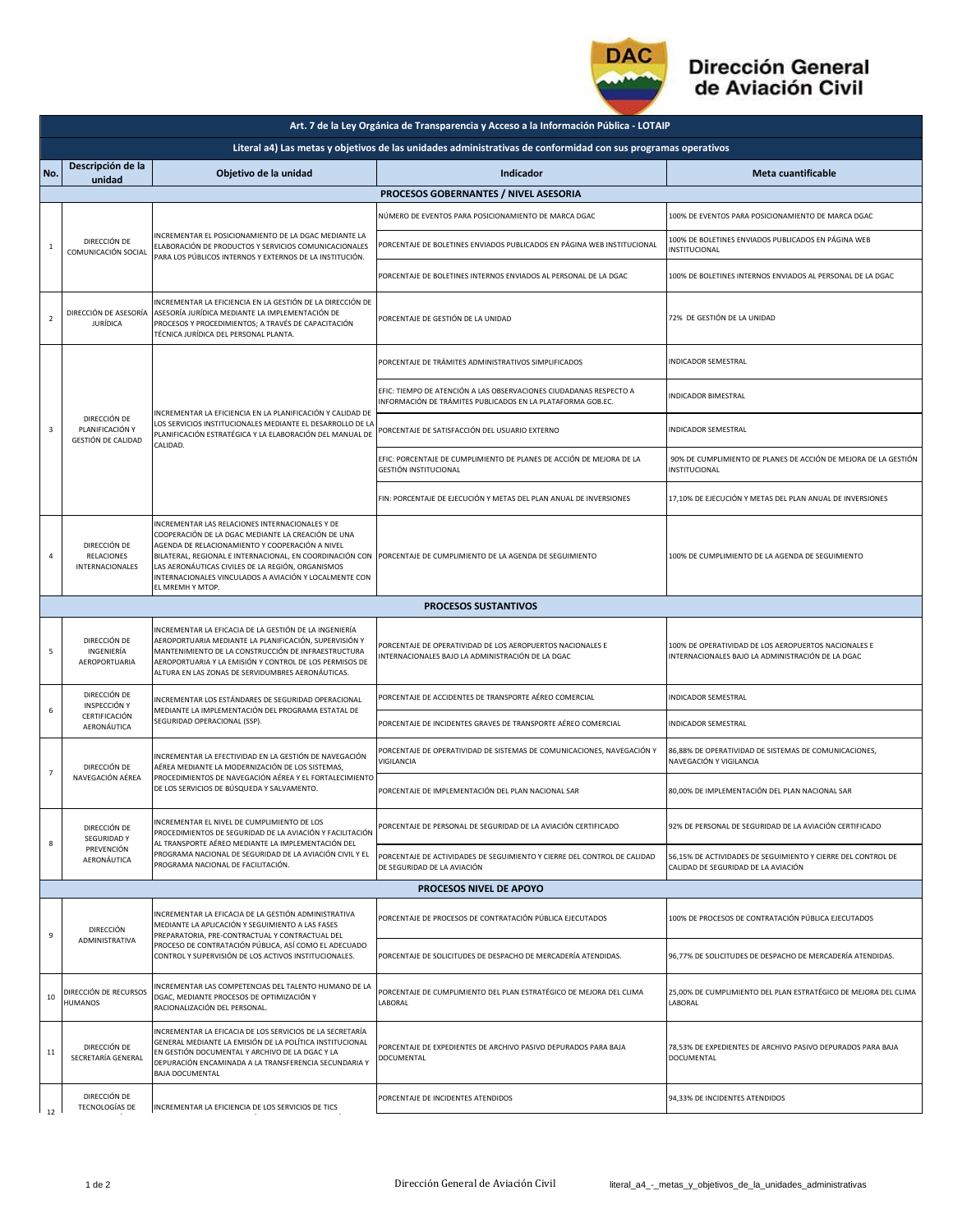

## Dirección General<br>de Aviación Civil

| Art. 7 de la Ley Orgánica de Transparencia y Acceso a la Información Pública - LOTAIP                         |                                                                 |                                                                                                                                                                                                                                                                                                                                                                                                                |                                                                                                                                   |                                                                                                           |  |  |  |  |
|---------------------------------------------------------------------------------------------------------------|-----------------------------------------------------------------|----------------------------------------------------------------------------------------------------------------------------------------------------------------------------------------------------------------------------------------------------------------------------------------------------------------------------------------------------------------------------------------------------------------|-----------------------------------------------------------------------------------------------------------------------------------|-----------------------------------------------------------------------------------------------------------|--|--|--|--|
| Literal a4) Las metas y objetivos de las unidades administrativas de conformidad con sus programas operativos |                                                                 |                                                                                                                                                                                                                                                                                                                                                                                                                |                                                                                                                                   |                                                                                                           |  |  |  |  |
| No.                                                                                                           | Descripción de la<br>unidad                                     | Objetivo de la unidad                                                                                                                                                                                                                                                                                                                                                                                          | <b>Indicador</b>                                                                                                                  | Meta cuantificable                                                                                        |  |  |  |  |
|                                                                                                               | PROCESOS GOBERNANTES / NIVEL ASESORIA                           |                                                                                                                                                                                                                                                                                                                                                                                                                |                                                                                                                                   |                                                                                                           |  |  |  |  |
| $\mathbf{1}$                                                                                                  | DIRECCIÓN DE<br>COMUNICACIÓN SOCIAL                             | INCREMENTAR EL POSICIONAMIENTO DE LA DGAC MEDIANTE LA<br>ELABORACIÓN DE PRODUCTOS Y SERVICIOS COMUNICACIONALES<br>PARA LOS PÚBLICOS INTERNOS Y EXTERNOS DE LA INSTITUCIÓN.                                                                                                                                                                                                                                     | NÚMERO DE EVENTOS PARA POSICIONAMIENTO DE MARCA DGAC                                                                              | 100% DE EVENTOS PARA POSICIONAMIENTO DE MARCA DGAC                                                        |  |  |  |  |
|                                                                                                               |                                                                 |                                                                                                                                                                                                                                                                                                                                                                                                                | PORCENTAJE DE BOLETINES ENVIADOS PUBLICADOS EN PÁGINA WEB INSTITUCIONAL                                                           | 100% DE BOLETINES ENVIADOS PUBLICADOS EN PÁGINA WEB<br>INSTITUCIONAL                                      |  |  |  |  |
|                                                                                                               |                                                                 |                                                                                                                                                                                                                                                                                                                                                                                                                | PORCENTAJE DE BOLETINES INTERNOS ENVIADOS AL PERSONAL DE LA DGAC                                                                  | 100% DE BOLETINES INTERNOS ENVIADOS AL PERSONAL DE LA DGAC                                                |  |  |  |  |
| $\overline{2}$                                                                                                | DIRECCIÓN DE ASESORÍA<br><b>JURÍDICA</b>                        | INCREMENTAR LA EFICIENCIA EN LA GESTIÓN DE LA DIRECCIÓN DE<br>ASESORÍA JURÍDICA MEDIANTE LA IMPLEMENTACIÓN DE<br>PROCESOS Y PROCEDIMIENTOS; A TRAVÉS DE CAPACITACIÓN<br>TÉCNICA JURÍDICA DEL PERSONAL PLANTA.                                                                                                                                                                                                  | PORCENTAJE DE GESTIÓN DE LA UNIDAD                                                                                                | 72% DE GESTIÓN DE LA UNIDAD                                                                               |  |  |  |  |
|                                                                                                               | DIRECCIÓN DE<br>PLANIFICACIÓN Y<br>GESTIÓN DE CALIDAD           | INCREMENTAR LA EFICIENCIA EN LA PLANIFICACIÓN Y CALIDAD DE<br>LOS SERVICIOS INSTITUCIONALES MEDIANTE EL DESARROLLO DE LA<br>PLANIFICACIÓN ESTRATÉGICA Y LA ELABORACIÓN DEL MANUAL DE<br>CALIDAD.                                                                                                                                                                                                               | PORCENTAJE DE TRÁMITES ADMINISTRATIVOS SIMPLIFICADOS                                                                              | <b>INDICADOR SEMESTRAL</b>                                                                                |  |  |  |  |
|                                                                                                               |                                                                 |                                                                                                                                                                                                                                                                                                                                                                                                                | EFIC: TIEMPO DE ATENCIÓN A LAS OBSERVACIONES CIUDADANAS RESPECTO A<br>INFORMACIÓN DE TRÁMITES PUBLICADOS EN LA PLATAFORMA GOB.EC. | <b>INDICADOR BIMESTRAL</b>                                                                                |  |  |  |  |
| $\overline{\mathbf{3}}$                                                                                       |                                                                 |                                                                                                                                                                                                                                                                                                                                                                                                                | PORCENTAJE DE SATISFACCIÓN DEL USUARIO EXTERNO                                                                                    | <b>INDICADOR SEMESTRAL</b>                                                                                |  |  |  |  |
|                                                                                                               |                                                                 |                                                                                                                                                                                                                                                                                                                                                                                                                | EFIC: PORCENTAJE DE CUMPLIMIENTO DE PLANES DE ACCIÓN DE MEJORA DE LA<br>GESTIÓN INSTITUCIONAL                                     | 90% DE CUMPLIMIENTO DE PLANES DE ACCIÓN DE MEJORA DE LA GESTIÓN<br>INSTITUCIONAL                          |  |  |  |  |
|                                                                                                               |                                                                 |                                                                                                                                                                                                                                                                                                                                                                                                                | FIN: PORCENTAJE DE EJECUCIÓN Y METAS DEL PLAN ANUAL DE INVERSIONES                                                                | 17,10% DE EJECUCIÓN Y METAS DEL PLAN ANUAL DE INVERSIONES                                                 |  |  |  |  |
| $\overline{a}$                                                                                                | DIRECCIÓN DE<br>RELACIONES<br>INTERNACIONALES                   | INCREMENTAR LAS RELACIONES INTERNACIONALES Y DE<br>COOPERACIÓN DE LA DGAC MEDIANTE LA CREACIÓN DE UNA<br>AGENDA DE RELACIONAMIENTO Y COOPERACIÓN A NIVEL<br>BILATERAL, REGIONAL E INTERNACIONAL, EN COORDINACIÓN CON PORCENTAJE DE CUMPLIMIENTO DE LA AGENDA DE SEGUIMIENTO<br>LAS AERONÁUTICAS CIVILES DE LA REGIÓN, ORGANISMOS<br>INTERNACIONALES VINCULADOS A AVIACIÓN Y LOCALMENTE CON<br>EL MREMH Y MTOP. |                                                                                                                                   | 100% DE CUMPLIMIENTO DE LA AGENDA DE SEGUIMIENTO                                                          |  |  |  |  |
|                                                                                                               |                                                                 |                                                                                                                                                                                                                                                                                                                                                                                                                | <b>PROCESOS SUSTANTIVOS</b>                                                                                                       |                                                                                                           |  |  |  |  |
| 5                                                                                                             | DIRECCIÓN DE<br>INGENIERÍA<br>AEROPORTUARIA                     | INCREMENTAR LA EFICACIA DE LA GESTIÓN DE LA INGENIERÍA<br>AEROPORTUARIA MEDIANTE LA PLANIFICACIÓN, SUPERVISIÓN Y<br>MANTENIMIENTO DE LA CONSTRUCCIÓN DE INFRAESTRUCTURA<br>AEROPORTUARIA Y LA EMISIÓN Y CONTROL DE LOS PERMISOS DE<br>ALTURA EN LAS ZONAS DE SERVIDUMBRES AERONÁUTICAS.                                                                                                                        | PORCENTAJE DE OPERATIVIDAD DE LOS AEROPUERTOS NACIONALES E<br>INTERNACIONALES BAJO LA ADMINISTRACIÓN DE LA DGAC                   | 100% DE OPERATIVIDAD DE LOS AEROPUERTOS NACIONALES E<br>INTERNACIONALES BAJO LA ADMINISTRACIÓN DE LA DGAC |  |  |  |  |
| 6                                                                                                             | DIRECCIÓN DE<br>INSPECCIÓN Y                                    | INCREMENTAR LOS ESTÁNDARES DE SEGURIDAD OPERACIONAL<br>MEDIANTE LA IMPLEMENTACIÓN DEL PROGRAMA ESTATAL DE<br>SEGURIDAD OPERACIONAL (SSP).                                                                                                                                                                                                                                                                      | PORCENTAJE DE ACCIDENTES DE TRANSPORTE AÉREO COMERCIAL                                                                            | INDICADOR SEMESTRAL                                                                                       |  |  |  |  |
|                                                                                                               | CERTIFICACIÓN<br>AERONÁUTICA                                    |                                                                                                                                                                                                                                                                                                                                                                                                                | PORCENTAJE DE INCIDENTES GRAVES DE TRANSPORTE AÉREO COMERCIAL                                                                     | <b>INDICADOR SEMESTRAL</b>                                                                                |  |  |  |  |
| $\overline{7}$                                                                                                | DIRECCIÓN DE<br>NAVEGACIÓN AÉREA                                | INCREMENTAR LA EFECTIVIDAD EN LA GESTIÓN DE NAVEGACIÓN<br>AÉREA MEDIANTE LA MODERNIZACIÓN DE LOS SISTEMAS.<br>PROCEDIMIENTOS DE NAVEGACIÓN AÉREA Y EL FORTALECIMIENTO<br>DE LOS SERVICIOS DE BÚSQUEDA Y SALVAMENTO.                                                                                                                                                                                            | PORCENTAJE DE OPERATIVIDAD DE SISTEMAS DE COMUNICACIONES, NAVEGACIÓN Y<br>VIGILANCIA                                              | 86,88% DE OPERATIVIDAD DE SISTEMAS DE COMUNICACIONES,<br>NAVEGACIÓN Y VIGILANCIA                          |  |  |  |  |
|                                                                                                               |                                                                 |                                                                                                                                                                                                                                                                                                                                                                                                                | PORCENTAJE DE IMPLEMENTACIÓN DEL PLAN NACIONAL SAR                                                                                | 80,00% DE IMPLEMENTACIÓN DEL PLAN NACIONAL SAR                                                            |  |  |  |  |
| 8                                                                                                             | DIRECCIÓN DE<br><b>SEGURIDAD Y</b><br>PREVENCIÓN<br>AERONÁUTICA | INCREMENTAR EL NIVEL DE CUMPLIMIENTO DE LOS<br>PROCEDIMIENTOS DE SEGURIDAD DE LA AVIACIÓN Y FACILITACIÓN<br>AL TRANSPORTE AÉREO MEDIANTE LA IMPLEMENTACIÓN DEL<br>PROGRAMA NACIONAL DE SEGURIDAD DE LA AVIACIÓN CIVIL Y EL<br>PROGRAMA NACIONAL DE FACILITACIÓN.                                                                                                                                               | PORCENTAJE DE PERSONAL DE SEGURIDAD DE LA AVIACIÓN CERTIFICADO                                                                    | 92% DE PERSONAL DE SEGURIDAD DE LA AVIACIÓN CERTIFICADO                                                   |  |  |  |  |
|                                                                                                               |                                                                 |                                                                                                                                                                                                                                                                                                                                                                                                                | PORCENTAJE DE ACTIVIDADES DE SEGUIMIENTO Y CIERRE DEL CONTROL DE CALIDAD<br>DE SEGURIDAD DE LA AVIACIÓN                           | 56,15% DE ACTIVIDADES DE SEGUIMIENTO Y CIERRE DEL CONTROL DE<br>CALIDAD DE SEGURIDAD DE LA AVIACIÓN       |  |  |  |  |
|                                                                                                               |                                                                 |                                                                                                                                                                                                                                                                                                                                                                                                                | <b>PROCESOS NIVEL DE APOYO</b>                                                                                                    |                                                                                                           |  |  |  |  |
| 9                                                                                                             | DIRECCIÓN<br>ADMINISTRATIVA                                     | INCREMENTAR LA EFICACIA DE LA GESTIÓN ADMINISTRATIVA<br>MEDIANTE LA APLICACIÓN Y SEGUIMIENTO A LAS FASES<br>PREPARATORIA, PRE-CONTRACTUAL Y CONTRACTUAL DEL<br>PROCESO DE CONTRATACIÓN PÚBLICA, ASÍ COMO EL ADECUADO<br>CONTROL Y SUPERVISIÓN DE LOS ACTIVOS INSTITUCIONALES.                                                                                                                                  | PORCENTAJE DE PROCESOS DE CONTRATACIÓN PÚBLICA EJECUTADOS                                                                         | 100% DE PROCESOS DE CONTRATACIÓN PÚBLICA EJECUTADOS                                                       |  |  |  |  |
|                                                                                                               |                                                                 |                                                                                                                                                                                                                                                                                                                                                                                                                | PORCENTAJE DE SOLICITUDES DE DESPACHO DE MERCADERÍA ATENDIDAS.                                                                    | 96,77% DE SOLICITUDES DE DESPACHO DE MERCADERÍA ATENDIDAS.                                                |  |  |  |  |
| 10                                                                                                            | DIRECCIÓN DE RECURSOS<br>HUMANOS                                | INCREMENTAR LAS COMPETENCIAS DEL TALENTO HUMANO DE LA<br>DGAC, MEDIANTE PROCESOS DE OPTIMIZACIÓN Y<br>RACIONALIZACIÓN DEL PERSONAL.                                                                                                                                                                                                                                                                            | PORCENTAJE DE CUMPLIMIENTO DEL PLAN ESTRATÉGICO DE MEJORA DEL CLIMA<br>LABORAL                                                    | 25,00% DE CUMPLIMIENTO DEL PLAN ESTRATÉGICO DE MEJORA DEL CLIMA<br>LABORAL                                |  |  |  |  |
| 11                                                                                                            | DIRECCIÓN DE<br>SECRETARÍA GENERAL                              | INCREMENTAR LA EFICACIA DE LOS SERVICIOS DE LA SECRETARÍA<br>GENERAL MEDIANTE LA EMISIÓN DE LA POLÍTICA INSTITUCIONAL<br>EN GESTIÓN DOCUMENTAL Y ARCHIVO DE LA DGAC Y LA<br>DEPURACIÓN ENCAMINADA A LA TRANSFERENCIA SECUNDARIA Y<br><b>BAJA DOCUMENTAL</b>                                                                                                                                                    | PORCENTAJE DE EXPEDIENTES DE ARCHIVO PASIVO DEPURADOS PARA BAJA<br>DOCUMENTAL                                                     | 78,53% DE EXPEDIENTES DE ARCHIVO PASIVO DEPURADOS PARA BAJA<br>DOCUMENTAL                                 |  |  |  |  |
| 12                                                                                                            | DIRECCIÓN DE<br><b>TECNOLOGÍAS DE</b>                           | INCREMENTAR LA EFICIENCIA DE LOS SERVICIOS DE TICS                                                                                                                                                                                                                                                                                                                                                             | PORCENTAJE DE INCIDENTES ATENDIDOS                                                                                                | 94,33% DE INCIDENTES ATENDIDOS                                                                            |  |  |  |  |